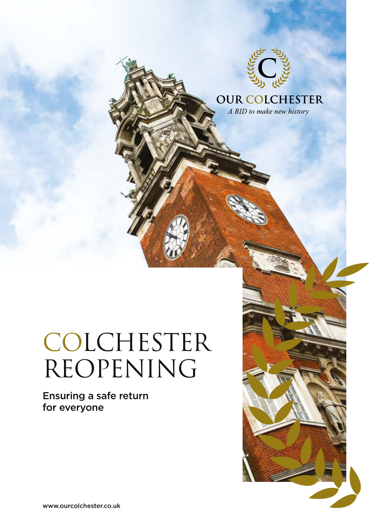

**OUR COLCHESTER** A BID to make new history

COLCHESTER REOPENING

Ensuring a safe return for everyone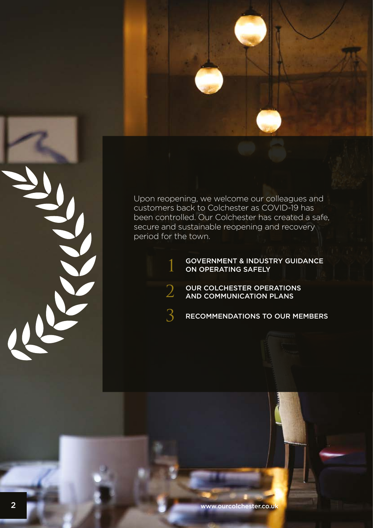

Upon reopening, we welcome our colleagues and customers back to Colchester as COVID-19 has been controlled. Our Colchester has created a safe, secure and sustainable reopening and recovery period for the town.

1

2

3

#### GOVERNMENT & INDUSTRY GUIDANCE ON OPERATING SAFELY

- OUR COLCHESTER OPERATIONS **AND COMMUNICATION PLANS**
- RECOMMENDATIONS TO OUR MEMBERS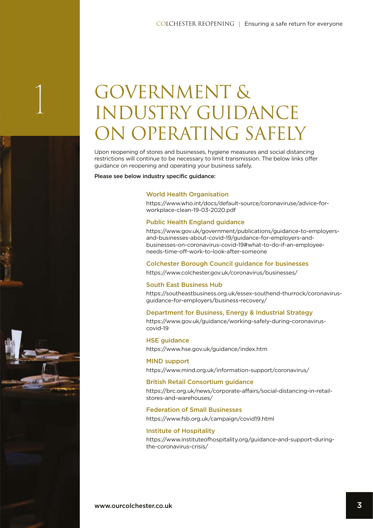# 1 GOVERNMENT &<br>INDUSTRY GUIDANCE **N OPERATING SAFELY**

Upon reopening of stores and businesses, hygiene measures and social distancing restrictions will continue to be necessary to limit transmission. The below links offer guidance on reopening and operating your business safely.

Please see below industry specific quidance:

#### World Health Organisation

https://www.who.int/docs/default-source/coronaviruse/advice-forworkplace-clean-19-03-2020.pdf

#### Public Health England guidance

https://www.gov.uk/government/publications/guidance-to-employersand-businesses-about-covid-19/guidance-for-employers-andbusinesses-on-coronavirus-covid-19#what-to-do-if-an-employeeneeds-time-off-work-to-look-after-someone

#### Colchester Borough Council guidance for businesses

https://www.colchester.gov.uk/coronavirus/businesses/

#### South East Business Hub

https://southeastbusiness.org.uk/essex-southend-thurrock/coronavirusguidance-for-employers/business-recovery/

#### Department for Business, Energy & Industrial Strategy

https://www.gov.uk/guidance/working-safely-during-coronaviruscovid-19

#### HSE guidance

https://www.hse.gov.uk/guidance/index.htm

#### MIND support https://www.mind.org.uk/information-support/coronavirus/

#### British Retail Consortium guidance

https://brc.org.uk/news/corporate-affairs/social-distancing-in-retailstores-and-warehouses/

#### Federation of Small Businesses

https://www.fsb.org.uk/campaign/covid19.html

#### Institute of Hospitality

https://www.instituteofhospitality.org/guidance-and-support-duringthe-coronavirus-crisis/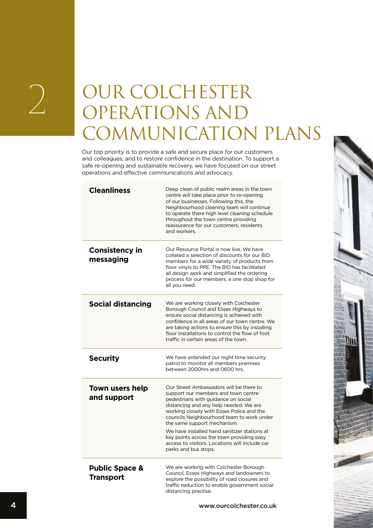# 2 OUR COLCHESTER OPERATIONS AND **DMMUNICATION PLANS**

Our top priority is to provide a safe and secure place for our customers and colleagues, and to restore confidence in the destination. To support a safe re-opening and sustainable recovery, we have focused on our street operations and effective communications and advocacy.

| <b>Cleanliness</b>                            | Deep clean of public realm areas in the town<br>centre will take place prior to re-opening<br>of our businesses. Following this, the<br>Neighbourhood cleaning team will continue<br>to operate there high level cleaning schedule<br>throughout the town centre providing<br>reassurance for our customers, residents<br>and workers.                                                                                                                          |
|-----------------------------------------------|-----------------------------------------------------------------------------------------------------------------------------------------------------------------------------------------------------------------------------------------------------------------------------------------------------------------------------------------------------------------------------------------------------------------------------------------------------------------|
| <b>Consistency in</b><br>messaging            | Our Resource Portal is now live. We have<br>collated a selection of discounts for our BID<br>members for a wide variety of products from<br>floor vinyls to PPE. The BID has facilitated<br>all design work and simplified the ordering<br>process for our members, a one stop shop for<br>all you need.                                                                                                                                                        |
| <b>Social distancing</b>                      | We are working closely with Colchester<br>Borough Council and Essex Highways to<br>ensure social distancing is achieved with<br>confidence in all areas of our town centre. We<br>are taking actions to ensure this by installing<br>floor installations to control the flow of foot<br>traffic in certain areas of the town.                                                                                                                                   |
| <b>Security</b>                               | We have extended our night time security<br>patrol to monitor all members premises<br>between 2000hrs and 0600 hrs.                                                                                                                                                                                                                                                                                                                                             |
| <b>Town users help</b><br>and support         | Our Street Ambassadors will be there to<br>support our members and town centre<br>pedestrians with guidance on social<br>distancing and any help needed. We are<br>working closely with Essex Police and the<br>councils Neighbourhood team to work under<br>the same support mechanism.<br>We have installed hand sanitizer stations at<br>key points across the town providing easy<br>access to visitors. Locations will include car<br>parks and bus stops. |
| <b>Public Space &amp;</b><br><b>Transport</b> | We are working with Colchester Borough<br>Council, Essex Highways and landowners to<br>explore the possibility of road closures and<br>traffic reduction to enable government social<br>distancing practise.                                                                                                                                                                                                                                                    |

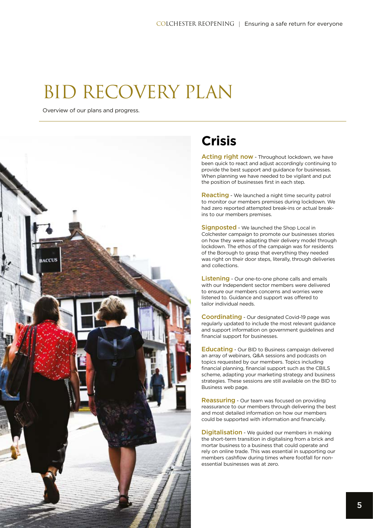### BID RECOVERY PLAN

Overview of our plans and progress.



### **Crisis**

Acting right now - Throughout lockdown, we have been quick to react and adjust accordingly continuing to provide the best support and guidance for businesses. When planning we have needed to be vigilant and put the position of businesses first in each step.

Reacting - We launched a night time security patrol to monitor our members premises during lockdown. We had zero reported attempted break-ins or actual breakins to our members premises.

Signposted - We launched the Shop Local in Colchester campaign to promote our businesses stories on how they were adapting their delivery model through lockdown. The ethos of the campaign was for residents of the Borough to grasp that everything they needed was right on their door steps, literally, through deliveries and collections.

Listening - Our one-to-one phone calls and emails with our Independent sector members were delivered to ensure our members concerns and worries were listened to. Guidance and support was offered to tailor individual needs.

Coordinating - Our designated Covid-19 page was regularly updated to include the most relevant guidance and support information on government guidelines and financial support for businesses.

Educating - Our BID to Business campaign delivered an array of webinars, Q&A sessions and podcasts on topics requested by our members. Topics including financial planning, financial support such as the CBILS scheme, adapting your marketing strategy and business strategies. These sessions are still available on the BID to Business web page.

Reassuring - Our team was focused on providing reassurance to our members through delivering the best and most detailed information on how our members could be supported with information and financially.

**Digitalisation** - We guided our members in making the short-term transition in digitalising from a brick and mortar business to a business that could operate and rely on online trade. This was essential in supporting our members cashflow during times where footfall for nonessential businesses was at zero.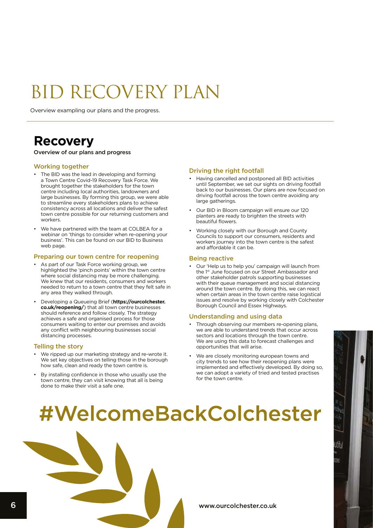### BID RECOVERY PLAN

Overview exampling our plans and the progress.

### **Recovery**

Overview of our plans and progress

#### Working together

- The BID was the lead in developing and forming a Town Centre Covid-19 Recovery Task Force. We brought together the stakeholders for the town centre including local authorities, landowners and large businesses. By forming this group, we were able to streamline every stakeholders plans to achieve consistency across all locations and deliver the safest town centre possible for our returning customers and workers.
- We have partnered with the team at COLBEA for a webinar on 'things to consider when re-opening your business'. This can be found on our BID to Business web page.

#### Preparing our town centre for reopening

- As part of our Task Force working group, we highlighted the 'pinch points' within the town centre where social distancing may be more challenging. We knew that our residents, consumers and workers needed to return to a town centre that they felt safe in any area they walked through.
- Developing a Queueing Brief (**https://ourcolchester. co.uk/reopening/**) that all town centre businesses should reference and follow closely. The strategy achieves a safe and organised process for those consumers waiting to enter our premises and avoids any conflict with neighbouring businesses social distancing processes.

#### Telling the story

- We ripped up our marketing strategy and re-wrote it. We set key objectives on telling those in the borough how safe, clean and ready the town centre is.
- By installing confidence in those who usually use the town centre, they can visit knowing that all is being done to make their visit a safe one.

#### Driving the right footfall

- Having cancelled and postponed all BID activities until September, we set our sights on driving footfall back to our businesses. Our plans are now focused on driving footfall across the town centre avoiding any large gatherings.
- Our BID in Bloom campaign will ensure our 120 planters are ready to brighten the streets with beautiful flowers.
- Working closely with our Borough and County Councils to support our consumers, residents and workers journey into the town centre is the safest and affordable it can be.

#### Being reactive

• Our 'Help us to help you' campaign will launch from the 1<sup>st</sup> June focused on our Street Ambassador and other stakeholder patrols supporting businesses with their queue management and social distancing around the town centre. By doing this, we can react when certain areas in the town centre raise logistical issues and resolve by working closely with Colchester Borough Council and Essex Highways.

#### Understanding and using data

- Through observing our members re-opening plans, we are able to understand trends that occur across sectors and locations through the town centre. We are using this data to forecast challenges and opportunities that will arise.
- We are closely monitoring european towns and city trends to see how their reopening plans were implemented and effectively developed. By doing so, we can adopt a variety of tried and tested practises for the town centre.

## #WelcomeBackColchester

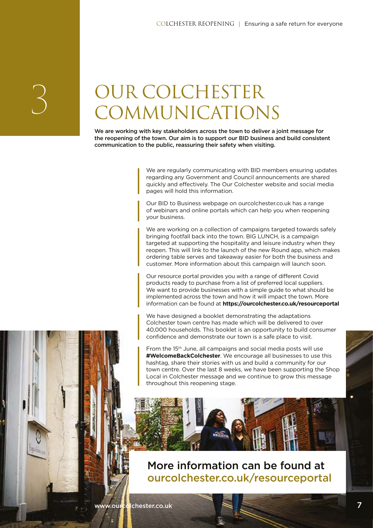# 3 OUR COLCHESTER COMMUNICATIONS

We are working with key stakeholders across the town to deliver a joint message for the reopening of the town. Our aim is to support our BID business and build consistent communication to the public, reassuring their safety when visiting.

> We are regularly communicating with BID members ensuring updates regarding any Government and Council announcements are shared quickly and effectively. The Our Colchester website and social media pages will hold this information.

Our BID to Business webpage on ourcolchester.co.uk has a range of webinars and online portals which can help you when reopening your business.

We are working on a collection of campaigns targeted towards safely bringing footfall back into the town. BIG LUNCH, is a campaign targeted at supporting the hospitality and leisure industry when they reopen. This will link to the launch of the new Round app, which makes ordering table serves and takeaway easier for both the business and customer. More information about this campaign will launch soon.

Our resource portal provides you with a range of different Covid products ready to purchase from a list of preferred local suppliers. We want to provide businesses with a simple guide to what should be implemented across the town and how it will impact the town. More information can be found at **https://ourcolchester.co.uk/resourceportal**

We have designed a booklet demonstrating the adaptations Colchester town centre has made which will be delivered to over 40,000 households. This booklet is an opportunity to build consumer confidence and demonstrate our town is a safe place to visit.

From the 15th June, all campaigns and social media posts will use **#WelcomeBackColchester**. We encourage all businesses to use this hashtag, share their stories with us and build a community for our town centre. Over the last 8 weeks, we have been supporting the Shop Local in Colchester message and we continue to grow this message throughout this reopening stage.

### More information can be found at ourcolchester.co.uk/resourceportal